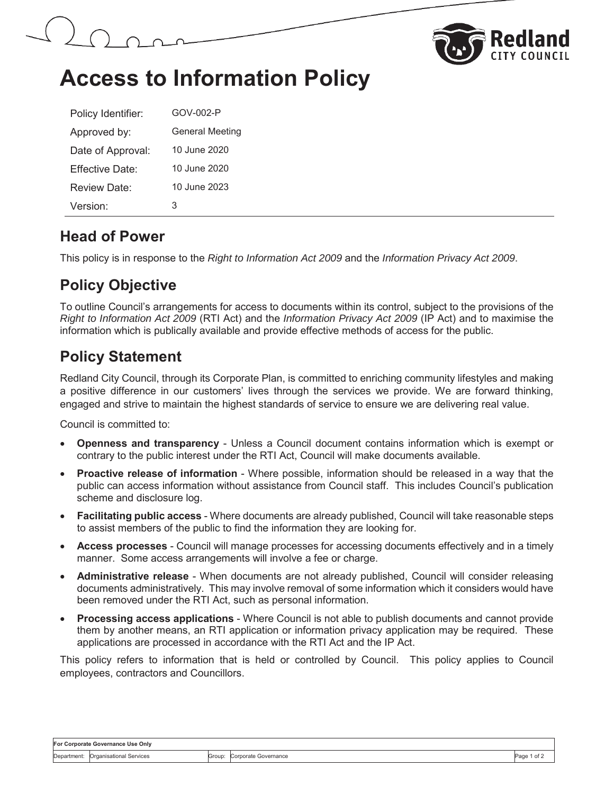



## **Access to Information Policy**

| Policy Identifier:   | GOV-002-P              |
|----------------------|------------------------|
| Approved by:         | <b>General Meeting</b> |
| Date of Approval:    | 10 June 2020           |
| Fffective Date:      | 10 June 2020           |
| Review Date:         | 10 June 2023           |
| Version <sup>.</sup> | З                      |

#### **Head of Power**

This policy is in response to the *Right to Information Act 2009* and the *Information Privacy Act 2009*.

## **Policy Objective**

To outline Council's arrangements for access to documents within its control, subject to the provisions of the *Right to Information Act 2009* (RTI Act) and the *Information Privacy Act 2009* (IP Act) and to maximise the information which is publically available and provide effective methods of access for the public.

### **Policy Statement**

Redland City Council, through its Corporate Plan, is committed to enriching community lifestyles and making a positive difference in our customers' lives through the services we provide. We are forward thinking, engaged and strive to maintain the highest standards of service to ensure we are delivering real value.

Council is committed to:

- x **Openness and transparency** Unless a Council document contains information which is exempt or contrary to the public interest under the RTI Act, Council will make documents available.
- **Proactive release of information** Where possible, information should be released in a way that the public can access information without assistance from Council staff. This includes Council's publication scheme and disclosure log.
- **Facilitating public access** Where documents are already published, Council will take reasonable steps to assist members of the public to find the information they are looking for.
- **Access processes** Council will manage processes for accessing documents effectively and in a timely manner. Some access arrangements will involve a fee or charge.
- **Administrative release** When documents are not already published, Council will consider releasing documents administratively. This may involve removal of some information which it considers would have been removed under the RTI Act, such as personal information.
- **Processing access applications** Where Council is not able to publish documents and cannot provide them by another means, an RTI application or information privacy application may be required. These applications are processed in accordance with the RTI Act and the IP Act.

This policy refers to information that is held or controlled by Council. This policy applies to Council employees, contractors and Councillors.

| For Corporate Governance Use Only |                         |        |                      |      |  |  |  |
|-----------------------------------|-------------------------|--------|----------------------|------|--|--|--|
| Department:                       | Organisational Services | Group: | Corporate Governance | Paqe |  |  |  |